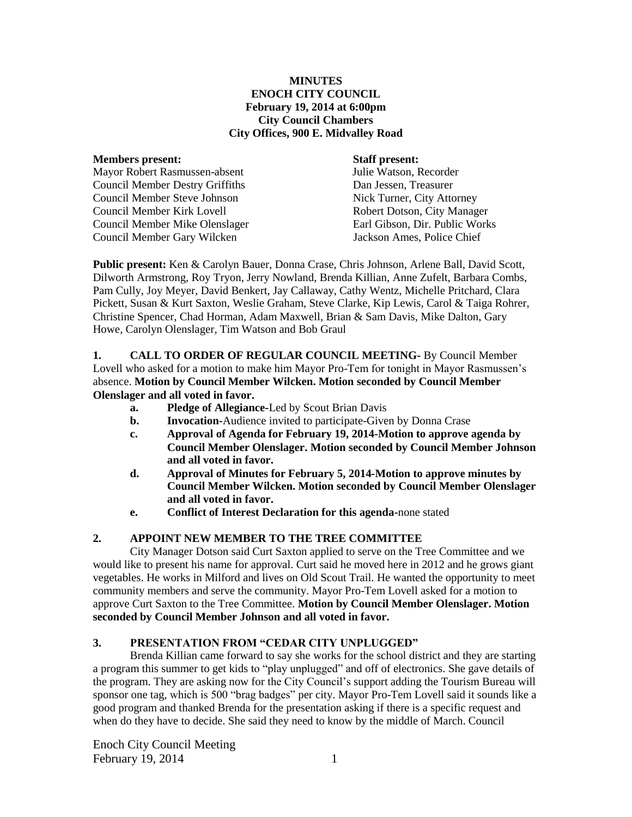#### **MINUTES ENOCH CITY COUNCIL February 19, 2014 at 6:00pm City Council Chambers City Offices, 900 E. Midvalley Road**

#### **Members present: Staff present:**

Mayor Robert Rasmussen-absent Julie Watson, Recorder Council Member Destry Griffiths Dan Jessen, Treasurer Council Member Steve Johnson Nick Turner, City Attorney Council Member Kirk Lovell Robert Dotson, City Manager Council Member Mike Olenslager Earl Gibson, Dir. Public Works Council Member Gary Wilcken Jackson Ames, Police Chief

**Public present:** Ken & Carolyn Bauer, Donna Crase, Chris Johnson, Arlene Ball, David Scott, Dilworth Armstrong, Roy Tryon, Jerry Nowland, Brenda Killian, Anne Zufelt, Barbara Combs, Pam Cully, Joy Meyer, David Benkert, Jay Callaway, Cathy Wentz, Michelle Pritchard, Clara Pickett, Susan & Kurt Saxton, Weslie Graham, Steve Clarke, Kip Lewis, Carol & Taiga Rohrer, Christine Spencer, Chad Horman, Adam Maxwell, Brian & Sam Davis, Mike Dalton, Gary Howe, Carolyn Olenslager, Tim Watson and Bob Graul

**1. CALL TO ORDER OF REGULAR COUNCIL MEETING-** By Council Member Lovell who asked for a motion to make him Mayor Pro-Tem for tonight in Mayor Rasmussen's absence. **Motion by Council Member Wilcken. Motion seconded by Council Member Olenslager and all voted in favor.** 

- **a. Pledge of Allegiance-**Led by Scout Brian Davis
- **b. Invocation-**Audience invited to participate-Given by Donna Crase
- **c. Approval of Agenda for February 19, 2014-Motion to approve agenda by Council Member Olenslager. Motion seconded by Council Member Johnson and all voted in favor.**
- **d. Approval of Minutes for February 5, 2014-Motion to approve minutes by Council Member Wilcken. Motion seconded by Council Member Olenslager and all voted in favor.**
- **e. Conflict of Interest Declaration for this agenda-**none stated

# **2. APPOINT NEW MEMBER TO THE TREE COMMITTEE**

City Manager Dotson said Curt Saxton applied to serve on the Tree Committee and we would like to present his name for approval. Curt said he moved here in 2012 and he grows giant vegetables. He works in Milford and lives on Old Scout Trail. He wanted the opportunity to meet community members and serve the community. Mayor Pro-Tem Lovell asked for a motion to approve Curt Saxton to the Tree Committee. **Motion by Council Member Olenslager. Motion seconded by Council Member Johnson and all voted in favor.**

# **3. PRESENTATION FROM "CEDAR CITY UNPLUGGED"**

Brenda Killian came forward to say she works for the school district and they are starting a program this summer to get kids to "play unplugged" and off of electronics. She gave details of the program. They are asking now for the City Council's support adding the Tourism Bureau will sponsor one tag, which is 500 "brag badges" per city. Mayor Pro-Tem Lovell said it sounds like a good program and thanked Brenda for the presentation asking if there is a specific request and when do they have to decide. She said they need to know by the middle of March. Council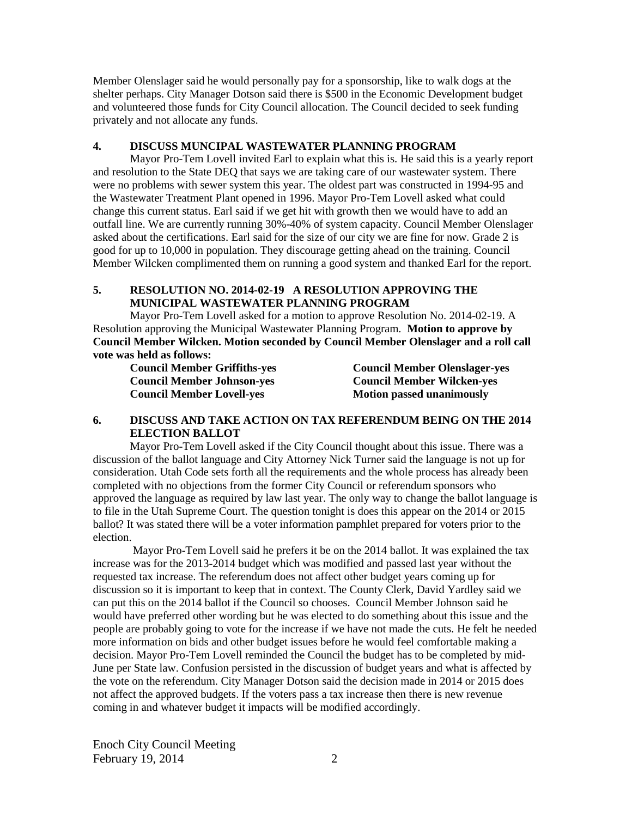Member Olenslager said he would personally pay for a sponsorship, like to walk dogs at the shelter perhaps. City Manager Dotson said there is \$500 in the Economic Development budget and volunteered those funds for City Council allocation. The Council decided to seek funding privately and not allocate any funds.

#### **4. DISCUSS MUNCIPAL WASTEWATER PLANNING PROGRAM**

Mayor Pro-Tem Lovell invited Earl to explain what this is. He said this is a yearly report and resolution to the State DEQ that says we are taking care of our wastewater system. There were no problems with sewer system this year. The oldest part was constructed in 1994-95 and the Wastewater Treatment Plant opened in 1996. Mayor Pro-Tem Lovell asked what could change this current status. Earl said if we get hit with growth then we would have to add an outfall line. We are currently running 30%-40% of system capacity. Council Member Olenslager asked about the certifications. Earl said for the size of our city we are fine for now. Grade 2 is good for up to 10,000 in population. They discourage getting ahead on the training. Council Member Wilcken complimented them on running a good system and thanked Earl for the report.

#### **5. RESOLUTION NO. 2014-02-19 A RESOLUTION APPROVING THE MUNICIPAL WASTEWATER PLANNING PROGRAM**

Mayor Pro-Tem Lovell asked for a motion to approve Resolution No. 2014-02-19. A Resolution approving the Municipal Wastewater Planning Program. **Motion to approve by Council Member Wilcken. Motion seconded by Council Member Olenslager and a roll call vote was held as follows:**

| <b>Council Member Griffiths-yes</b> | <b>Council Member Olenslager-yes</b> |  |
|-------------------------------------|--------------------------------------|--|
| <b>Council Member Johnson-yes</b>   | <b>Council Member Wilcken-yes</b>    |  |
| <b>Council Member Lovell-yes</b>    | <b>Motion passed unanimously</b>     |  |

## **6. DISCUSS AND TAKE ACTION ON TAX REFERENDUM BEING ON THE 2014 ELECTION BALLOT**

Mayor Pro-Tem Lovell asked if the City Council thought about this issue. There was a discussion of the ballot language and City Attorney Nick Turner said the language is not up for consideration. Utah Code sets forth all the requirements and the whole process has already been completed with no objections from the former City Council or referendum sponsors who approved the language as required by law last year. The only way to change the ballot language is to file in the Utah Supreme Court. The question tonight is does this appear on the 2014 or 2015 ballot? It was stated there will be a voter information pamphlet prepared for voters prior to the election.

Mayor Pro-Tem Lovell said he prefers it be on the 2014 ballot. It was explained the tax increase was for the 2013-2014 budget which was modified and passed last year without the requested tax increase. The referendum does not affect other budget years coming up for discussion so it is important to keep that in context. The County Clerk, David Yardley said we can put this on the 2014 ballot if the Council so chooses. Council Member Johnson said he would have preferred other wording but he was elected to do something about this issue and the people are probably going to vote for the increase if we have not made the cuts. He felt he needed more information on bids and other budget issues before he would feel comfortable making a decision. Mayor Pro-Tem Lovell reminded the Council the budget has to be completed by mid-June per State law. Confusion persisted in the discussion of budget years and what is affected by the vote on the referendum. City Manager Dotson said the decision made in 2014 or 2015 does not affect the approved budgets. If the voters pass a tax increase then there is new revenue coming in and whatever budget it impacts will be modified accordingly.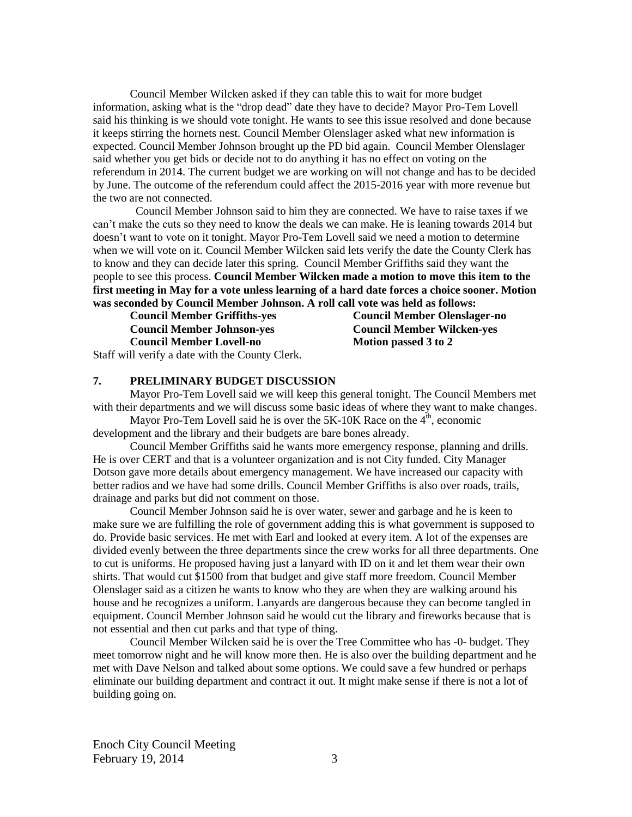Council Member Wilcken asked if they can table this to wait for more budget information, asking what is the "drop dead" date they have to decide? Mayor Pro-Tem Lovell said his thinking is we should vote tonight. He wants to see this issue resolved and done because it keeps stirring the hornets nest. Council Member Olenslager asked what new information is expected. Council Member Johnson brought up the PD bid again. Council Member Olenslager said whether you get bids or decide not to do anything it has no effect on voting on the referendum in 2014. The current budget we are working on will not change and has to be decided by June. The outcome of the referendum could affect the 2015-2016 year with more revenue but the two are not connected.

Council Member Johnson said to him they are connected. We have to raise taxes if we can't make the cuts so they need to know the deals we can make. He is leaning towards 2014 but doesn't want to vote on it tonight. Mayor Pro-Tem Lovell said we need a motion to determine when we will vote on it. Council Member Wilcken said lets verify the date the County Clerk has to know and they can decide later this spring. Council Member Griffiths said they want the people to see this process. **Council Member Wilcken made a motion to move this item to the first meeting in May for a vote unless learning of a hard date forces a choice sooner. Motion was seconded by Council Member Johnson. A roll call vote was held as follows:**

**Council Member Johnson-yes Council Member Wilcken-yes Council Member Lovell-no Motion passed 3 to 2** 

**Council Member Griffiths-yes Council Member Olenslager-no**

Staff will verify a date with the County Clerk.

# **7. PRELIMINARY BUDGET DISCUSSION**

Mayor Pro-Tem Lovell said we will keep this general tonight. The Council Members met with their departments and we will discuss some basic ideas of where they want to make changes.

Mayor Pro-Tem Lovell said he is over the  $5K-10K$  Race on the  $4<sup>th</sup>$ , economic development and the library and their budgets are bare bones already.

Council Member Griffiths said he wants more emergency response, planning and drills. He is over CERT and that is a volunteer organization and is not City funded. City Manager Dotson gave more details about emergency management. We have increased our capacity with better radios and we have had some drills. Council Member Griffiths is also over roads, trails, drainage and parks but did not comment on those.

Council Member Johnson said he is over water, sewer and garbage and he is keen to make sure we are fulfilling the role of government adding this is what government is supposed to do. Provide basic services. He met with Earl and looked at every item. A lot of the expenses are divided evenly between the three departments since the crew works for all three departments. One to cut is uniforms. He proposed having just a lanyard with ID on it and let them wear their own shirts. That would cut \$1500 from that budget and give staff more freedom. Council Member Olenslager said as a citizen he wants to know who they are when they are walking around his house and he recognizes a uniform. Lanyards are dangerous because they can become tangled in equipment. Council Member Johnson said he would cut the library and fireworks because that is not essential and then cut parks and that type of thing.

Council Member Wilcken said he is over the Tree Committee who has -0- budget. They meet tomorrow night and he will know more then. He is also over the building department and he met with Dave Nelson and talked about some options. We could save a few hundred or perhaps eliminate our building department and contract it out. It might make sense if there is not a lot of building going on.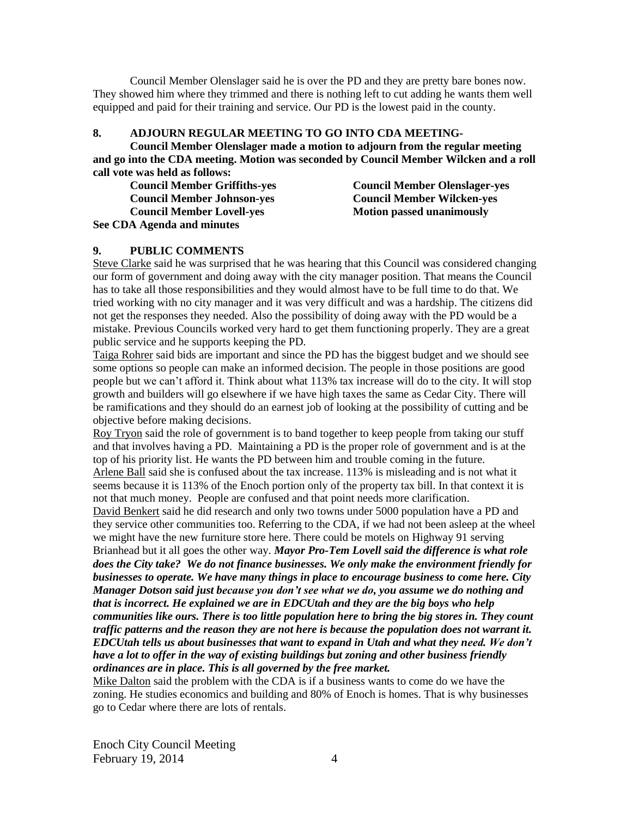Council Member Olenslager said he is over the PD and they are pretty bare bones now. They showed him where they trimmed and there is nothing left to cut adding he wants them well equipped and paid for their training and service. Our PD is the lowest paid in the county.

## **8. ADJOURN REGULAR MEETING TO GO INTO CDA MEETING-**

**Council Member Olenslager made a motion to adjourn from the regular meeting and go into the CDA meeting. Motion was seconded by Council Member Wilcken and a roll call vote was held as follows:**

| <b>Council Member Griffiths-yes</b> |  |
|-------------------------------------|--|
| <b>Council Member Johnson-yes</b>   |  |
| <b>Council Member Lovell-yes</b>    |  |
| See CDA Agenda and minutes          |  |

**Council Member Olenslager-yes Council Member Wilcken-yes Motion passed unanimously** 

#### **9. PUBLIC COMMENTS**

Steve Clarke said he was surprised that he was hearing that this Council was considered changing our form of government and doing away with the city manager position. That means the Council has to take all those responsibilities and they would almost have to be full time to do that. We tried working with no city manager and it was very difficult and was a hardship. The citizens did not get the responses they needed. Also the possibility of doing away with the PD would be a mistake. Previous Councils worked very hard to get them functioning properly. They are a great public service and he supports keeping the PD.

Taiga Rohrer said bids are important and since the PD has the biggest budget and we should see some options so people can make an informed decision. The people in those positions are good people but we can't afford it. Think about what 113% tax increase will do to the city. It will stop growth and builders will go elsewhere if we have high taxes the same as Cedar City. There will be ramifications and they should do an earnest job of looking at the possibility of cutting and be objective before making decisions.

Roy Tryon said the role of government is to band together to keep people from taking our stuff and that involves having a PD. Maintaining a PD is the proper role of government and is at the top of his priority list. He wants the PD between him and trouble coming in the future. Arlene Ball said she is confused about the tax increase. 113% is misleading and is not what it seems because it is 113% of the Enoch portion only of the property tax bill. In that context it is not that much money. People are confused and that point needs more clarification.

David Benkert said he did research and only two towns under 5000 population have a PD and they service other communities too. Referring to the CDA, if we had not been asleep at the wheel we might have the new furniture store here. There could be motels on Highway 91 serving Brianhead but it all goes the other way. *Mayor Pro-Tem Lovell said the difference is what role does the City take? We do not finance businesses. We only make the environment friendly for businesses to operate. We have many things in place to encourage business to come here. City Manager Dotson said just because you don't see what we do, you assume we do nothing and that is incorrect. He explained we are in EDCUtah and they are the big boys who help communities like ours. There is too little population here to bring the big stores in. They count traffic patterns and the reason they are not here is because the population does not warrant it. EDCUtah tells us about businesses that want to expand in Utah and what they need. We don't have a lot to offer in the way of existing buildings but zoning and other business friendly ordinances are in place. This is all governed by the free market.* 

Mike Dalton said the problem with the CDA is if a business wants to come do we have the zoning. He studies economics and building and 80% of Enoch is homes. That is why businesses go to Cedar where there are lots of rentals.